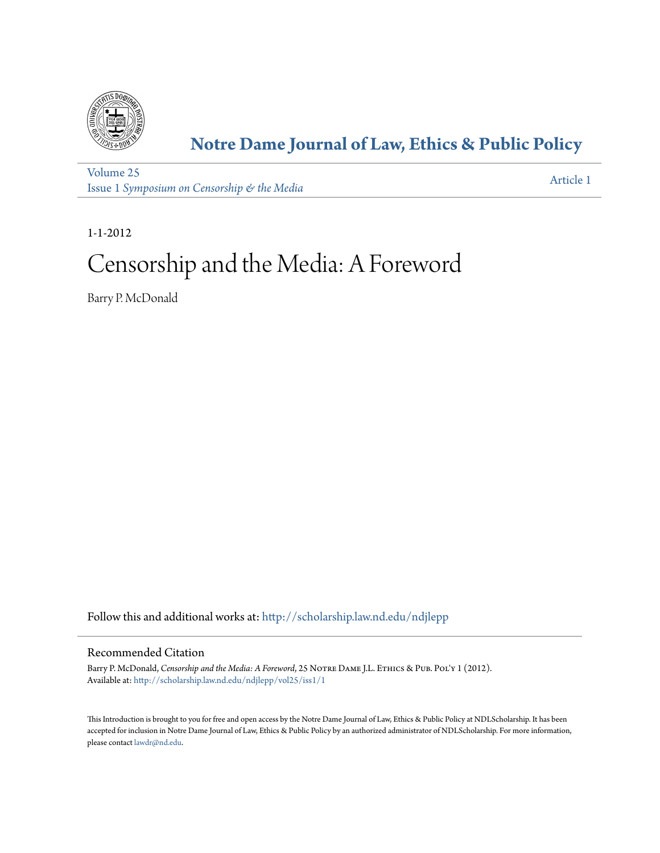

# **[Notre Dame Journal of Law, Ethics & Public Policy](http://scholarship.law.nd.edu/ndjlepp?utm_source=scholarship.law.nd.edu%2Fndjlepp%2Fvol25%2Fiss1%2F1&utm_medium=PDF&utm_campaign=PDFCoverPages)**

[Volume 25](http://scholarship.law.nd.edu/ndjlepp/vol25?utm_source=scholarship.law.nd.edu%2Fndjlepp%2Fvol25%2Fiss1%2F1&utm_medium=PDF&utm_campaign=PDFCoverPages) Issue 1 *[Symposium on Censorship & the Media](http://scholarship.law.nd.edu/ndjlepp/vol25/iss1?utm_source=scholarship.law.nd.edu%2Fndjlepp%2Fvol25%2Fiss1%2F1&utm_medium=PDF&utm_campaign=PDFCoverPages)*

[Article 1](http://scholarship.law.nd.edu/ndjlepp/vol25/iss1/1?utm_source=scholarship.law.nd.edu%2Fndjlepp%2Fvol25%2Fiss1%2F1&utm_medium=PDF&utm_campaign=PDFCoverPages)

1-1-2012

# Censorship and the Media: A Foreword

Barry P. McDonald

Follow this and additional works at: [http://scholarship.law.nd.edu/ndjlepp](http://scholarship.law.nd.edu/ndjlepp?utm_source=scholarship.law.nd.edu%2Fndjlepp%2Fvol25%2Fiss1%2F1&utm_medium=PDF&utm_campaign=PDFCoverPages)

## Recommended Citation

Barry P. McDonald, *Censorship and the Media: A Foreword*, 25 NOTRE DAME J.L. ETHICS & PUB. POL'Y 1 (2012). Available at: [http://scholarship.law.nd.edu/ndjlepp/vol25/iss1/1](http://scholarship.law.nd.edu/ndjlepp/vol25/iss1/1?utm_source=scholarship.law.nd.edu%2Fndjlepp%2Fvol25%2Fiss1%2F1&utm_medium=PDF&utm_campaign=PDFCoverPages)

This Introduction is brought to you for free and open access by the Notre Dame Journal of Law, Ethics & Public Policy at NDLScholarship. It has been accepted for inclusion in Notre Dame Journal of Law, Ethics & Public Policy by an authorized administrator of NDLScholarship. For more information, please contact [lawdr@nd.edu](mailto:lawdr@nd.edu).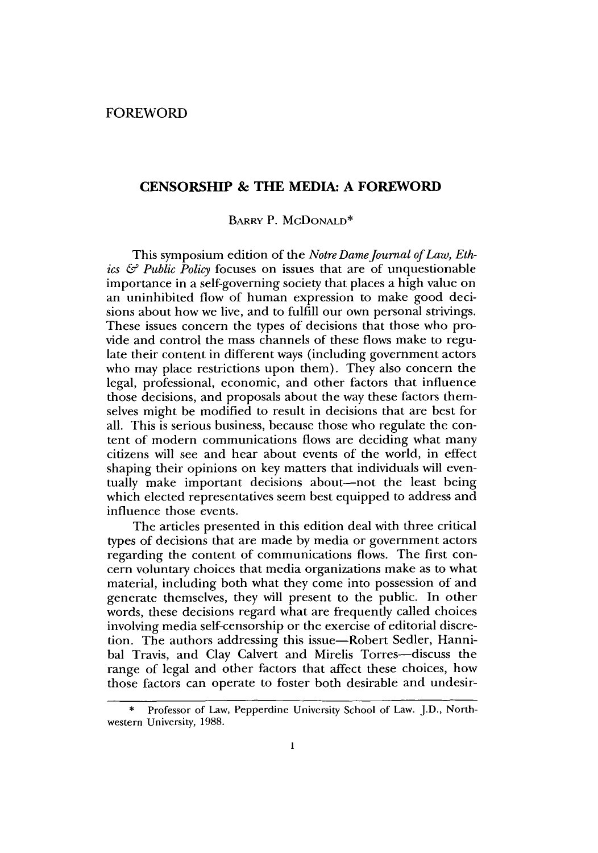### **CENSORSHIP & THE MEDIA: A FOREWORD**

**BARRY** P. McDONALD\*

This symposium edition of the *Notre Dame Journal of Law, Ethics & Public Policy* focuses on issues that are of unquestionable importance in a self-governing society that places a high value on an uninhibited flow of human expression to make good decisions about how we live, and to fulfill our own personal strivings. These issues concern the types of decisions that those who provide and control the mass channels of these flows make to regulate their content in different ways (including government actors who may place restrictions upon them). They also concern the legal, professional, economic, and other factors that influence those decisions, and proposals about the way these factors themselves might be modified to result in decisions that are best for all. This is serious business, because those who regulate the content of modern communications flows are deciding what many citizens will see and hear about events of the world, in effect shaping their opinions on key matters that individuals will eventually make important decisions about-not the least being which elected representatives seem best equipped to address and influence those events.

The articles presented in this edition deal with three critical types of decisions that are made **by** media or government actors regarding the content of communications flows. The first concern voluntary choices that media organizations make as to what material, including both what they come into possession of and generate themselves, they will present to the public. In other words, these decisions regard what are frequently called choices involving media self-censorship or the exercise of editorial discretion. The authors addressing this issue-Robert Sedler, Hannibal Travis, and Clay Calvert and Mirelis Torres-discuss the range of legal and other factors that affect these choices, how those factors can operate to foster both desirable and undesir-

**<sup>\*</sup>** Professor of Law, Pepperdine University School of Law. **J.D.,** Northwestern University, **1988.**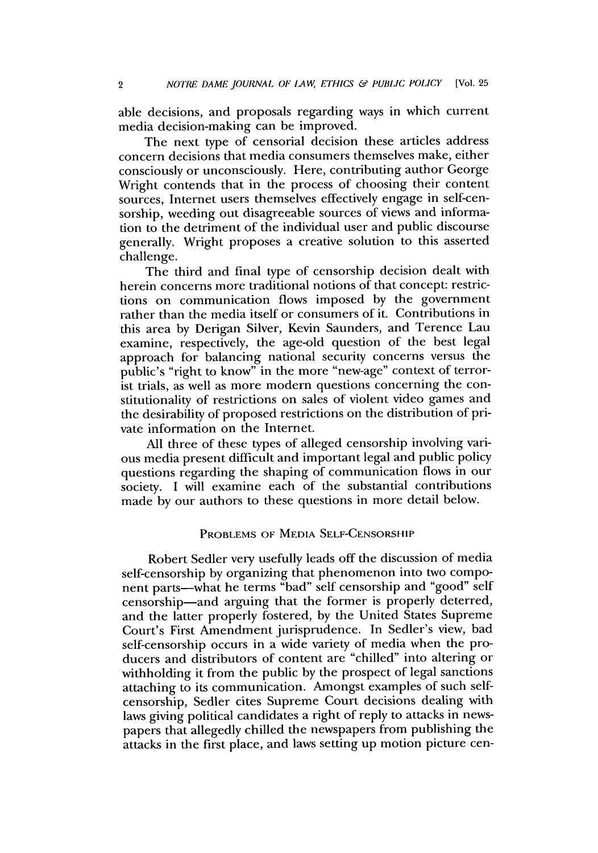able decisions, and proposals regarding ways in which current media decision-making can be improved.

The next type of censorial decision these articles address concern decisions that media consumers themselves make, either consciously or unconsciously. Here, contributing author George Wright contends that in the process of choosing their content sources, Internet users themselves effectively engage in self-censorship, weeding out disagreeable sources of views and information to the detriment of the individual user and public discourse generally. Wright proposes a creative solution to this asserted challenge.

The third and final type of censorship decision dealt with herein concerns more traditional notions of that concept: restrictions on communication flows imposed **by** the government rather than the media itself or consumers of it. Contributions in this area **by** Derigan Silver, Kevin Saunders, and Terence Lau examine, respectively, the age-old question of the best legal approach for balancing national security concerns versus the public's "right to know" in the more "new-age" context of terrorist trials, as well as more modern questions concerning the constitutionality of restrictions on sales of violent video games and the desirability of proposed restrictions on the distribution of private information on the Internet.

**All** three of these types of alleged censorship involving various media present difficult and important legal and public policy questions regarding the shaping of communication flows in our society. **I** will examine each of the substantial contributions made **by** our authors to these questions in more detail below.

#### **PROBLEMS OF MEDIA SELF-CENSORSHIP**

Robert Sedler very usefully leads off the discussion of media self-censorship **by** organizing that phenomenon into two component parts-what he terms "bad" self censorship and "good" self censorship-and arguing that the former is properly deterred, and the latter properly fostered, **by** the United States Supreme Court's First Amendment jurisprudence. In Sedler's view, bad self-censorship occurs in a wide variety of media when the producers and distributors of content are "chilled" into altering or withholding it from the public **by** the prospect of legal sanctions attaching to its communication. Amongst examples of such selfcensorship, Sedler cites Supreme Court decisions dealing with laws giving political candidates a right of reply to attacks in newspapers that allegedly chilled the newspapers from publishing the attacks in the first place, and laws setting up motion picture cen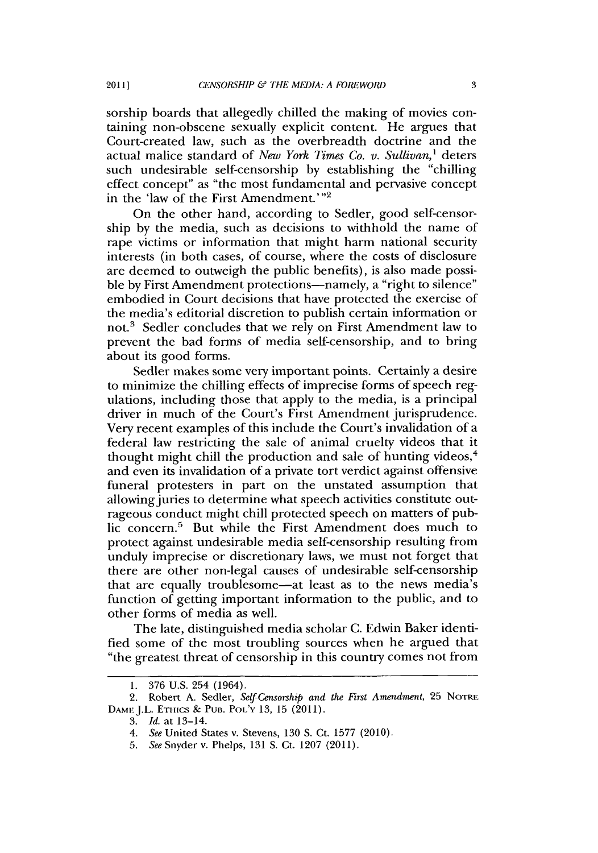sorship boards that allegedly chilled the making of movies containing non-obscene sexually explicit content. He argues that Court-created law, such as the overbreadth doctrine and the actual malice standard of *New York Times Co. v. Sullivan,'* deters such undesirable self-censorship **by** establishing the "chilling effect concept" as "the most fundamental and pervasive concept in the 'law of the First Amendment.'"<sup>2</sup>

On the other hand, according to Sedler, good self-censorship **by** the media, such as decisions to withhold the name of rape victims or information that might harm national security interests (in both cases, of course, where the costs of disclosure are deemed to outweigh the public benefits), is also made possible by First Amendment protections-namely, a "right to silence" embodied in Court decisions that have protected the exercise of the media's editorial discretion to publish certain information or not.<sup>3</sup> Sedler concludes that we rely on First Amendment law to prevent the bad forms of media self-censorship, and to bring about its good forms.

Sedler makes some very important points. Certainly a desire to minimize the chilling effects of imprecise forms of speech regulations, including those that apply to the media, is a principal driver in much of the Court's First Amendment jurisprudence. Very recent examples of this include the Court's invalidation of a federal law restricting the sale of animal cruelty videos that it thought might chill the production and sale of hunting videos,<sup>4</sup> and even its invalidation of a private tort verdict against offensive funeral protesters in part on the unstated assumption that allowing juries to determine what speech activities constitute outrageous conduct might chill protected speech on matters of public concern.<sup>5</sup> But while the First Amendment does much to protect against undesirable media self-censorship resulting from unduly imprecise or discretionary laws, we must not forget that there are other non-legal causes of undesirable self-censorship that are equally troublesome-at least as to the news media's function of getting important information to the public, and to other forms of media as well.

The late, distinguished media scholar **C.** Edwin Baker identified some of the most troubling sources when he argued that "the greatest threat of censorship in this country comes not from

**<sup>1. 376</sup> U.S.** 254 (1964).

<sup>2.</sup> Robert **A.** Sedler, *Self-Censorship and the First Amendment,* **25 NoTRE DAMEJ.L. ETHICS** *&* **PUB. PoL'Y 13, 15 (2011).**

**<sup>3.</sup>** *Id. at* 13-14.

*<sup>4.</sup> See* United States v. Stevens, **130 S.** Ct. **1577** (2010).

*<sup>5.</sup> See* Snyder v. Phelps, **131 S.** Ct. **1207 (2011).**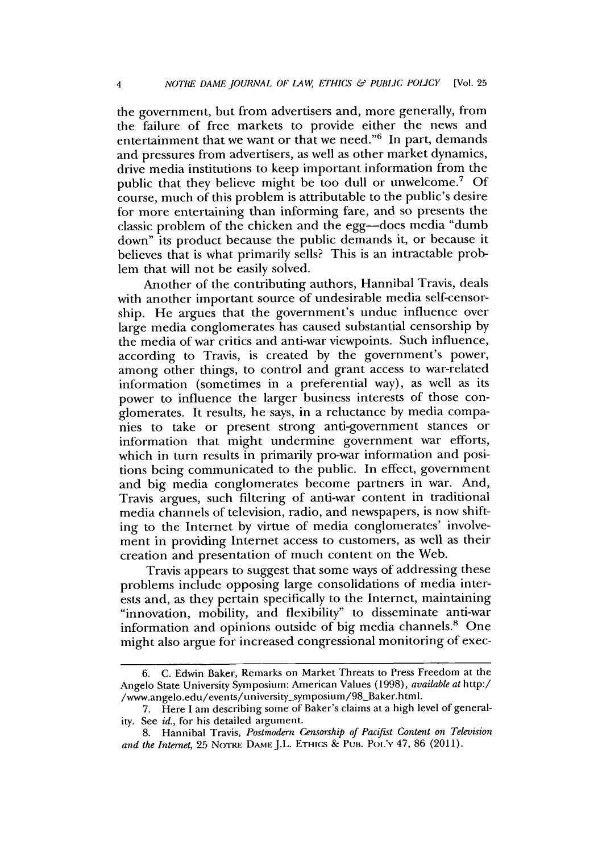the government, but from advertisers and, more generally, from the failure of free markets to provide either the news and entertainment that we want or that we need." $6$  In part, demands and pressures from advertisers, as well as other market dynamics, drive media institutions to keep important information from the public that they believe might be too dull or unwelcome.' **Of** course, much of this problem is attributable to the public's desire for more entertaining than informing fare, and so presents the classic problem of the chicken and the egg-does media "dumb down" its product because the public demands it, or because it believes that is what primarily sells? This is an intractable problem that will not **be** easily solved.

Another of the contributing authors, Hannibal Travis, deals with another important source of undesirable media self-censorship. He argues that the government's undue influence over large media conglomerates has caused substantial censorship **by** the media of war critics and anti-war viewpoints. Such influence, according to Travis, is created **by** the government's power, among other things, to control and grant access to war-related information (sometimes in a preferential way), as well as its power to influence the larger business interests of those conglomerates. It results, he says, in a reluctance **by** media companies to take or present strong anti-government stances or information that might undermine government war efforts, which in turn results in primarily pro-war information and positions being communicated to the public. In effect, government and big media conglomerates become partners in war. And, Travis argues, such filtering of anti-war content in traditional media channels of television, radio, and newspapers, is now shifting to the Internet **by** virtue of media conglomerates' involvement in providing Internet access to customers, as well as their creation and presentation of much content on the Web.

Travis appears to suggest that some ways of addressing these problems include opposing large consolidations of media interests and, as they pertain specifically to the Internet, maintaining "innovation, mobility, and flexibility" to disseminate anti-war information and opinions outside of big media channels.' One might also argue for increased congressional monitoring of exec-

**<sup>6.</sup> C.** Edwin Baker, Remarks on Market Threats to Press Freedom at the Angelo State University Symposium: American Values **(1998),** *available at* http:/ /www.angelo.edu/events/university-symposium/98-Baker.html.

**<sup>7.</sup>** Here **I** am describing some of Baker's claims at a high level of generality. See *id.,* for his detailed argument.

**<sup>8.</sup>** Hannibal Travis, *Postmodern Censorship of Pacifist Content on Television and the Internet,* **25 NOTRE DAME J.L. ETHICS** *&* **PUB. PoL'Y** 47, **86 (2011).**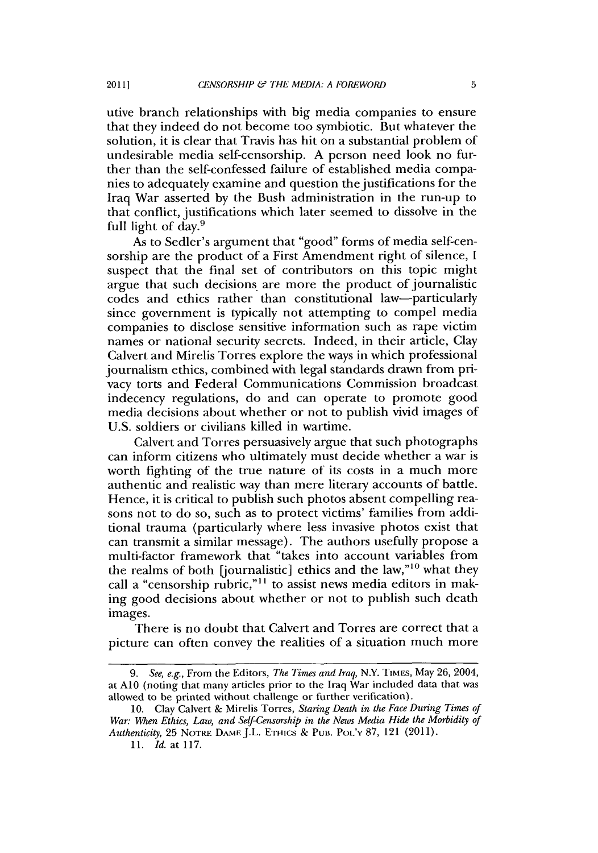utive branch relationships with big media companies to ensure that they indeed do not become too symbiotic. But whatever the solution, it is clear that Travis has hit on a substantial problem of undesirable media self-censorship. **A** person need look no further than the self-confessed failure of established media companies to adequately examine and question the justifications for the Iraq War asserted **by** the Bush administration in the run-up to that conflict, justifications which later seemed to dissolve in the full light of day.9

As to Sedler's argument that "good" forms of media self-censorship are the product of a First Amendment right of silence, **I** suspect that the final set of contributors on this topic might argue that such decisions are more the product of journalistic codes and ethics rather than constitutional law-particularly since government is typically not attempting to compel media companies to disclose sensitive information such as rape victim names or national security secrets. Indeed, in their article, Clay Calvert and Mirelis Torres explore the ways in which professional journalism ethics, combined with legal standards drawn from privacy torts and Federal Communications Commission broadcast indecency regulations, do and can operate to promote good media decisions about whether or not to publish vivid images of **U.S.** soldiers or civilians killed in wartime.

Calvert and Torres persuasively argue that such photographs can inform citizens who ultimately must decide whether a war is worth fighting of the true nature of its costs in a much more authentic and realistic way than mere literary accounts of battle. Hence, it is critical to publish such photos absent compelling reasons not to do so, such as to protect victims' families from additional trauma (particularly where less invasive photos exist that can transmit a similar message). The authors usefully propose a multi-factor framework that "takes into account variables from the realms of both [journalistic] ethics and the law," $10$  what they call a "censorship rubric,"<sup>11</sup> to assist news media editors in making good decisions about whether or not to publish such death images.

There is no doubt that Calvert and Torres are correct that a picture can often convey the realities of a situation much more

**<sup>9.</sup>** See, e.g., From the Editors, *The Times and Iraq,* N.Y. **TIMES,** May **26,** 2004, **at AIO** (noting that many articles prior to the Iraq War included data that was allowed to be printed without challenge or further verification).

**<sup>10.</sup>** Clay Calvert **&** Mirelis Torres, *Staring Death in the Face During Times of War: W'hen Ethics, Law, and Self-Censorship in the News Media Hide the Morbidity of Authenticity,* **25 NOTRE DAME** J.L. **ETH-IcS & Pun. Pot'Y 87,** 121 **(2011).**

*<sup>11.</sup> Id. at* **117.**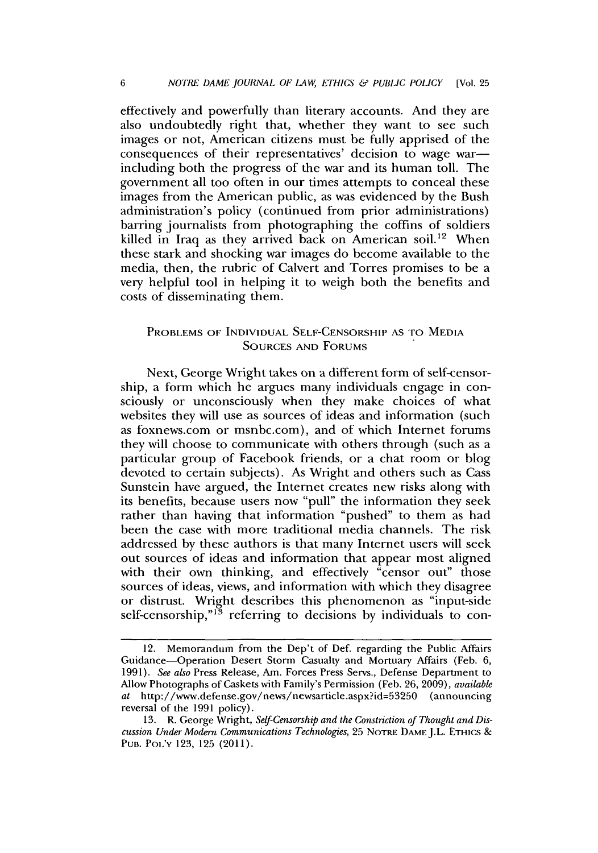effectively and powerfully than literary accounts. And they are also undoubtedly right that, whether they want to see such images or not, American citizens must be fully apprised of the consequences of their representatives' decision to wage warincluding both the progress of the war and its human toll. The government all too often in our times attempts to conceal these images from the American public, as was evidenced **by** the Bush administration's policy (continued from prior administrations) barring journalists from photographing the coffins of soldiers killed in Iraq as they arrived back on American soil.<sup>12</sup> When these stark and shocking war images do become available to the media, then, the rubric of Calvert and Torres promises to be a very helpful tool in helping it to weigh both the benefits and costs of disseminating them.

#### **PROBLEMS OF INDIVIDUAL SELF-CENSORSHIP AS TO MEDIA SOURCES AND FORUMS**

Next, George Wright takes on a different form of self-censorship, a form which he argues many individuals engage in consciously or unconsciously when they make choices of what websites they will use as sources of ideas and information (such as foxnews.com or msnbc.com), and of which Internet forums they will choose to communicate with others through (such as a particular group of Facebook friends, or a chat room or blog devoted to certain subjects). As Wright and others such as Cass Sunstein have argued, the Internet creates new risks along with its benefits, because users now "pull" the information they seek rather than having that information "pushed" to them as had been the case with more traditional media channels. The risk addressed **by** these authors is that many Internet users will seek out sources of ideas and information that appear most aligned with their own thinking, and effectively "censor out" those sources of ideas, views, and information with which they disagree or distrust. Wright describes this phenomenon as "input-side self-censorship,"<sup>13</sup> referring to decisions by individuals to con-

<sup>12.</sup> Memorandum from the Dep't of Def. regarding the Public Affairs Guidance-Operation Desert Storm Casualty and Mortuary Affairs (Feb. **6, 1991).** *See also* Press Release, Am. Forces Press Servs., Defense Department to Allow Photographs of Caskets with Family's Permission **(Feb. 26, 2009),** *available* at http://www.defense.gov/news/newsarticle.aspx?id=53250 (announcing reversal of the **1991** policy).

**<sup>13.</sup>** R. George Wright, *Self-Censorship and the Constriction of Thought and Discussion Under Modern Communications Technologies, 25* **NOTRE DAME J.L. ETHICS** *&* **PUB.** PoL'v **123, 125** (2011).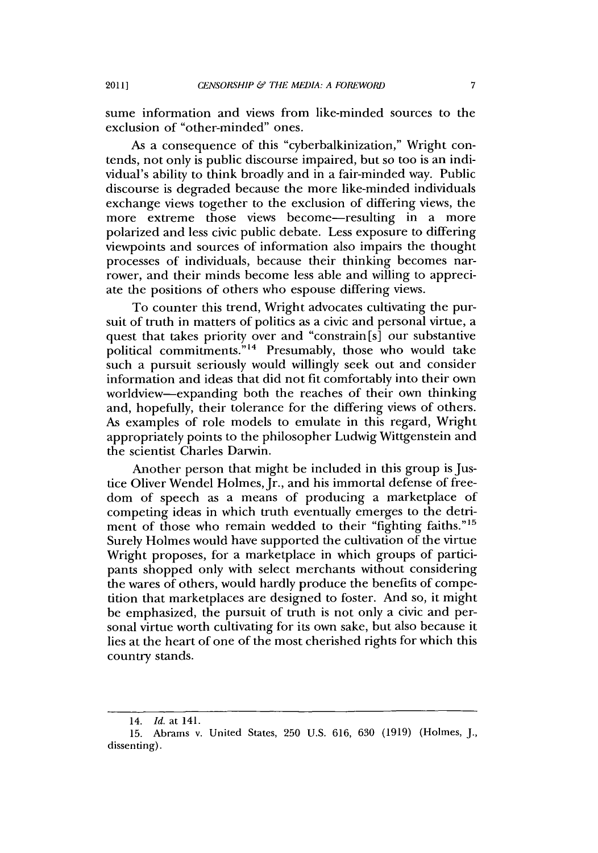sume information and views from like-minded sources to the exclusion of "other-minded" ones.

As a consequence of this "cyberbalkinization," Wright contends, not only is public discourse impaired, but so too is an individual's ability to think broadly and in a fair-minded way. Public discourse is degraded because the more like-minded individuals exchange views together to the exclusion of differing views, the more extreme those views become-resulting in a more polarized and less civic public debate. Less exposure to differing viewpoints and sources of information also impairs the thought processes of individuals, because their thinking becomes narrower, and their minds become less able and willing to appreciate the positions of others who espouse differing views.

To counter this trend, Wright advocates cultivating the pursuit of truth in matters of politics as a civic and personal virtue, a quest that takes priority over and "constrain [s] our substantive political commitments."<sup>14</sup> Presumably, those who would take such a pursuit seriously would willingly seek out and consider information and ideas that did not fit comfortably into their own worldview-expanding both the reaches of their own thinking and, hopefully, their tolerance for the differing views of others. As examples of role models to emulate in this regard, Wright appropriately points to the philosopher Ludwig Wittgenstein and the scientist Charles Darwin.

Another person that might be included in this group is Justice Oliver Wendel Holmes, Jr., and his immortal defense of freedom of speech as a means of producing a marketplace of competing ideas in which truth eventually emerges to the detriment of those who remain wedded to their "fighting faiths."<sup>15</sup> Surely Holmes would have supported the cultivation of the virtue Wright proposes, for a marketplace in which groups of participants shopped only with select merchants without considering the wares of others, would hardly produce the benefits of competition that marketplaces are designed to foster. And so, it might be emphasized, the pursuit of truth is not only a civic and personal virtue worth cultivating for its own sake, but also because it lies at the heart of one of the most cherished rights for which this country stands.

<sup>14.</sup> *Id.* at 141.

**<sup>15.</sup>** Abrams v. United States, **250 U.S. 616, 630 (1919)** (Holmes, **J.,** dissenting).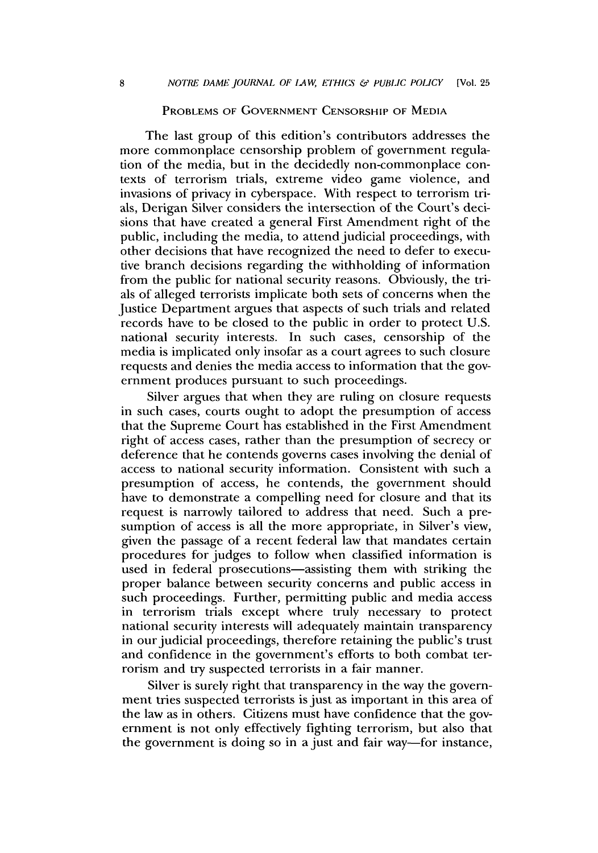#### **PROBLEMS OF GOVERNMENT CENSORSHIP OF MEDIA**

The last group of this edition's contributors addresses the more commonplace censorship problem of government regulation of the media, but in the decidedly non-commonplace contexts of terrorism trials, extreme video game violence, and invasions of privacy in cyberspace. With respect to terrorism trials, Derigan Silver considers the intersection of the Court's decisions that have created a general First Amendment right of the public, including the media, to attend judicial proceedings, with other decisions that have recognized the need to defer to executive branch decisions regarding the withholding of information from the public for national security reasons. Obviously, the trials of alleged terrorists implicate both sets of concerns when the Justice Department argues that aspects of such trials and related records have to be closed to the public in order to protect **U.S.** national security interests. In such cases, censorship of the media is implicated only insofar as a court agrees to such closure requests and denies the media access to information that the government produces pursuant to such proceedings.

Silver argues that when they are ruling on closure requests in such cases, courts ought to adopt the presumption of access that the Supreme Court has established in the First Amendment right of access cases, rather than the presumption of secrecy or deference that he contends governs cases involving the denial of access to national security information. Consistent with such a presumption of access, he contends, the government should have to demonstrate a compelling need for closure and that its request is narrowly tailored to address that need. Such a presumption of access is all the more appropriate, in Silver's view, given the passage of a recent federal law that mandates certain procedures for judges to follow when classified information is used in federal prosecutions-assisting them with striking the proper balance between security concerns and public access in such proceedings. Further, permitting public and media access in terrorism trials except where truly necessary to protect national security interests will adequately maintain transparency in our judicial proceedings, therefore retaining the public's trust and confidence in the government's efforts to both combat terrorism and try suspected terrorists in a fair manner.

Silver is surely right that transparency in the way the government tries suspected terrorists is just as important in this area of the law as in others. Citizens must have confidence that the government is not only effectively fighting terrorism, but also that the government is doing so in a just and fair way-for instance,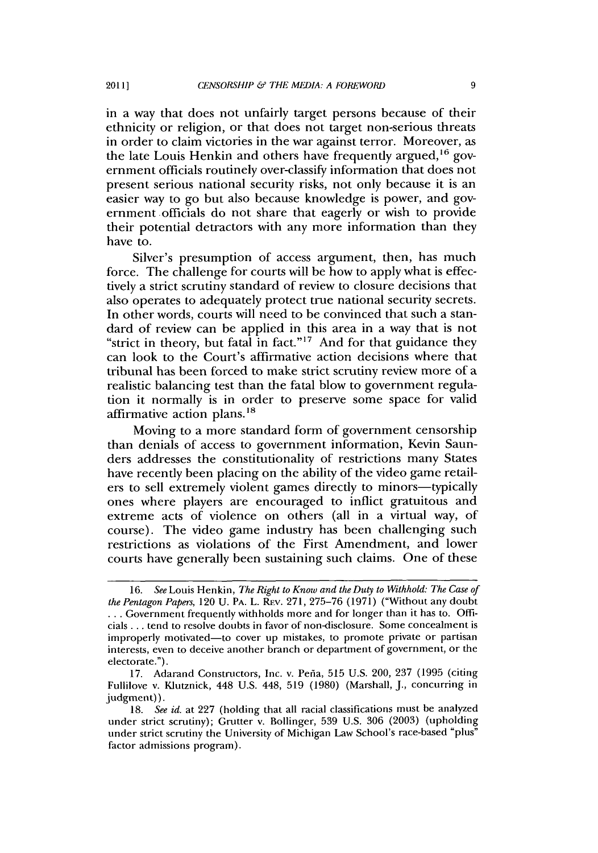in a way that does not unfairly target persons because of their ethnicity or religion, or that does not target non-serious threats in order to claim victories in the war against terror. Moreover, as the late Louis Henkin and others have frequently argued,  $16$  government officials routinely over-classify information that does not present serious national security risks, not only because it is an easier way to go but also because knowledge is power, and government officials do not share that eagerly or wish to provide their potential detractors with any more information than they have to.

Silver's presumption of access argument, then, has much force. The challenge for courts will **be** how to apply what is effectively a strict scrutiny standard of review to closure decisions that also operates to adequately protect true national security secrets. In other words, courts will need to **be** convinced that such a standard of review can be applied in this area in a way that is not "strict in theory, but fatal in fact."<sup>17</sup> And for that guidance they can look to the Court's affirmative action decisions where that tribunal has been forced to make strict scrutiny review more of a realistic balancing test than the fatal blow to government regulation it normally is in order to preserve some space for valid affirmative action plans.<sup>18</sup>

Moving to a more standard form of government censorship than denials of access to government information, Kevin Saunders addresses the constitutionality of restrictions many States have recently been placing on the ability of the video game retailers to sell extremely violent games directly to minors—typically ones where players are encouraged to inflict gratuitous and extreme acts of violence on others (all in a virtual way, of course). The video game industry has been challenging such restrictions as violations of the First Amendment, and lower courts have generally been sustaining such claims. One of these

*<sup>16.</sup> See* Louis Hen kin, *The Right to Know and the Duty to Withhold: The Case of the Pentagon Papers,* 120 **U. PA. L. RFv. 271, 275-76 (1971)** ("Without any doubt **. . .** Government frequently withholds more and for longer than it has to. **Offi**cials **. ..** tend to resolve doubts in favor of non-disclosure. Some concealment is improperly motivated-to cover up mistakes, to promote private or partisan interests, even to deceive another branch or department of government, or the electorate.").

**<sup>17.</sup>** Adarand Constructors, Inc. v. Peiia, **515 U.S.** 200, **237 (1995** (citing Fullilove v. Klutznick, 448 **U.S.** 448, **519 (1980)** (Marshall, **J.,** concurring in judgment)).

*<sup>18.</sup> See id.* at **227** (holding that all racial classifications must be analyzed under strict scrutiny); Grutter v. Bollinger, **539 U.S. 306 (2003)** (upholding under strict scrutiny the University of Michigan Law School's race-based "plus" factor admissions program).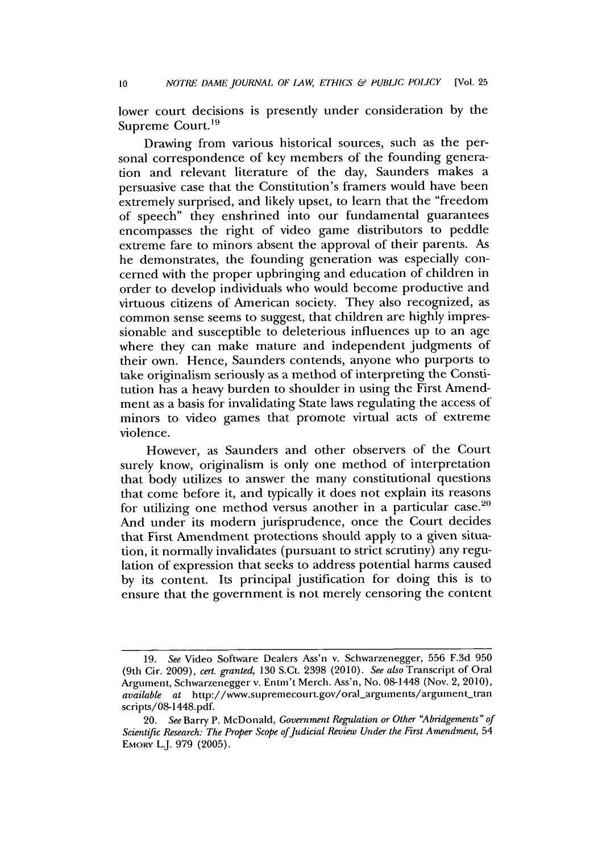lower court decisions is presently under consideration **by** the Supreme Court.<sup>19</sup>

Drawing from various historical sources, such as the personal correspondence of key members of the founding generation and relevant literature of the day, Saunders makes a persuasive case that the Constitution's framers would have been extremely surprised, and likely upset, to learn that the "freedom of speech" they enshrined into our fundamental guarantees encompasses the right of video game distributors to peddle extreme fare to minors absent the approval of their parents. **As** he demonstrates, the founding generation was especially concerned with the proper upbringing and education of children in order to develop individuals who would become productive and virtuous citizens of American society. They also recognized, as common sense seems to suggest, that children are **highly** impressionable and susceptible to deleterious influences up to an age where they can make mature and independent judgments of their own. Hence, Saunders contends, anyone who purports to take originalism seriously as a method of interpreting the Constitution has a heavy burden to shoulder in using the First Amendment as a basis for invalidating State laws regulating the access of minors to video games that promote virtual acts of extreme violence.

However, as Saunders and other observers of the Court surely know, originalism is only one method of interpretation that body utilizes to answer the many constitutional questions that come before it, and typically it does not explain its reasons for utilizing one method versus another in a particular case. $20$ And under its modern jurisprudence, once the Court decides that First Amendment protections should apply to a given situation, it normally invalidates (pursuant to strict scrutiny) any regulation of expression that seeks to address potential harms caused **by** its content. Its principal justification for doing this is to ensure that the government is not merely censoring the content

*<sup>19.</sup> See* Video Software Dealers Ass'n v. Schwarzenegger, **556 F.3d 950** (9th Cir. **2009),** *cert. granted,* **130** S.Ct. **2398** (2010). *See also* Transcript of Oral Argument, Schwarzenegger v. Entm't Merch. Ass'n, No. 08-1448 (Nov. 2, 2010), *available at* http://www.supremecourt.gov/oral-arguments/argument-tran scripts/08-1448.pdf.

*<sup>20.</sup> See* Barry P. McDonald, *Government Regulation or Other "Abridgements" of Scientific Research: The Proper Scope of Judicial Review Under the First Amendment, 54* **EMORY** L.J. **979 (2005).**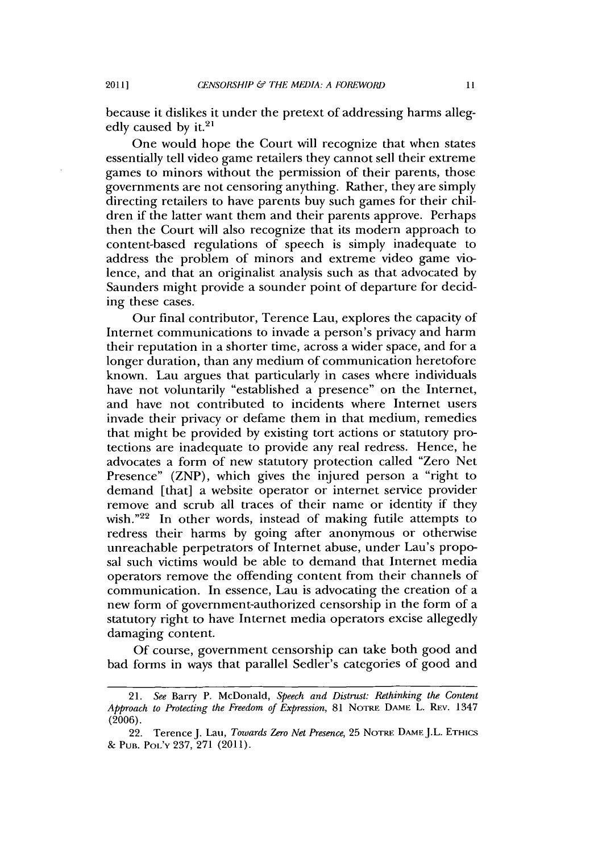because it dislikes it under the pretext of addressing harms allegedly caused by it.<sup>21</sup>

One would hope the Court will recognize that when states essentially tell video game retailers they cannot sell their extreme games to minors without the permission of their parents, those governments are not censoring anything. Rather, they are simply directing retailers to have parents buy such games for their children if the latter want them and their parents approve. Perhaps then the Court will also recognize that its modern approach to content-based regulations of speech is simply inadequate to address the problem of minors and extreme video game violence, and that an originalist analysis such as that advocated **by** Saunders might provide a sounder point of departure for deciding these cases.

Our final contributor, Terence Lau, explores the capacity of Internet communications to invade a person's privacy and harm their reputation in a shorter time, across a wider space, and for a longer duration, than any medium of communication heretofore known. Lau argues that particularly in cases where individuals have not voluntarily "established a presence" on the Internet, and have not contributed to incidents where Internet users invade their privacy or defame them in that medium, remedies that might be provided **by** existing tort actions or statutory protections are inadequate to provide any real redress. Hence, he advocates a form of new statutory protection called "Zero Net Presence" (ZNP), which gives the injured person a "right to demand [that] a website operator or internet service provider remove and scrub all traces of their name or identity if they wish." $22$  In other words, instead of making futile attempts to redress their harms **by** going after anonymous or otherwise unreachable perpetrators of Internet abuse, under Lau's proposal such victims would be able to demand that Internet media operators remove the offending content from their channels of communication. In essence, Lau is advocating the creation of a new form of government-authorized censorship in the form of a statutory right to have Internet media operators excise allegedly damaging content.

**Of** course, government censorship can take both good and bad forms in ways that parallel Sedler's categories of good and

*<sup>21.</sup> See* Barry **P. McDonald,** *Speech and Distrust: Rethinking the Content Approach to Protecting the Freedom of Expression, 81 NOTRE DAME L. REV. 1347* **(2006).**

<sup>22.</sup> Terence **J.** *Lau, Towards Zero Net Presence,* **25 NOTRE DAME J.L. ETHICS & PUB. Pot'v 237, 271 (2011).**